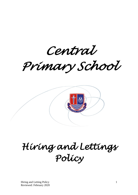*Central* 

*Primary School* 



# *Hiring and Lettings Policy*

Hiring and Letting Policy 1 Reviewed: February 2020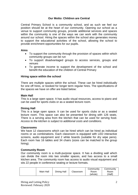# **Our Motto: Children are Central**

Central Primary School is a community school, and as such we feel our position should be at the heart of our community. Opening our school as a venue to support community groups, provide additional services and spaces within the community is one of the ways we can work with the community around our school. Hiring the spaces within the school also generates money to support the educational activities of the school, allowing the school to provide enrichment opportunities for our pupils.

#### **Aims**

- To support the community through the provision of spaces within which community groups can be run
- To support disadvantaged groups to access services, groups and venues
- To generate income to support the development of the school and benefit the education of the children of Central Primary

## **Hiring space within the school**

There are multiple spaces within the school. These can be hired individually for one off hires, or booked for longer term regular hires. The specifications of the spaces we have on offer are listed below:

#### **Main Hall**

This is a large open space. It has audio visual resources, access to piano and can be used for sports clubs or as a seated lecture room.

#### **Dining Hall**

This is a large open space. It can be used for sports clubs or as a seated lecture room. This space can also be presented for dining with 126 seats. There is a serving area from the kitchen that can be used for serving food. *Access to the kitchen is subject to additional costs and conditions.* 

#### **Classrooms**

We have 12 classrooms which can be hired which can be hired as individual rooms or as combinations. Each classroom is equipped with LED interactive screens, audio equipment and 2 white boards (suitable for dry wipe pens). Each room has 16 tables and 34 chairs (sizes can be matched to the group hiring).

#### **Community Room**

Our community room is a multi-purpose space. It has a dividing wall which can divide the room into two smaller spaces, and has access to a small kitchen area. The community room has access to audio visual equipment and sits 22 people in conference seating or lecture formats.

|  | Main Hall | Dining Hall | Classroom | Community<br>Room<br>(whole) | Communitv<br>Room<br>'Half) |
|--|-----------|-------------|-----------|------------------------------|-----------------------------|
|--|-----------|-------------|-----------|------------------------------|-----------------------------|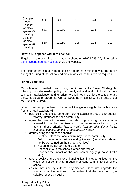| Cost per<br>Hour                                      | £22 | £21.50 | £18 | £24 | £14 |
|-------------------------------------------------------|-----|--------|-----|-----|-----|
| <b>Discount</b><br>for block<br>payment (3<br>months) | £21 | £20.50 | £17 | £23 | £13 |
| <b>Discount</b><br>for block<br>payment (6<br>months) | £20 | £19.50 | £16 | £22 | £12 |

#### **How to hire spaces within the school**

Enquires to the school can be made by phone on 01923 225129, via email at [admin@centralprimary.sch.uk](mailto:admin@centralprimary.sch.uk) or via the website.

The hiring of the school is managed by a team of caretakers who are on site during the hiring of the school and provide assistance to hirers as required.

## **Hiring Conditions**

Our school is committed to supporting the Government's Prevent Strategy: by following our safeguarding policy, we identify risk and work with local partners to prevent radicalisation and terrorism. We will not hire or let the school to any party, individual or group that we feel would be in conflict with our duty under the Prevent Strategy.

When considering the hire of the school the **governing body**, with advice from the head teacher, will:

- balance the desire to generate income against the desire to support "worthy" groups within the community
- agree the criteria to be used when deciding which groups are to be allowed to use the premises and consider requests for bookings against those criteria. *[These could include educational focus, charitable causes, benefit to the community, etc.]*
- groups hiring the premises should:
	- o Be of benefit to the local community/ school community
	- o Follow the schools policies and guidelines (i.e. alcohol should not be consumed on the school premises)
	- o Not bring the school into disrepute
	- o Not conflict with the school's ethos and values
	- o Consider the impact on the local community (e.g. noise, traffic etc.)
- take a positive approach to enhancing learning opportunities for the whole school community through promoting community use of the school
- ensure that use by external organisations does not degrade the standards of the facilities to the extent that they are no longer suitable for use by pupils